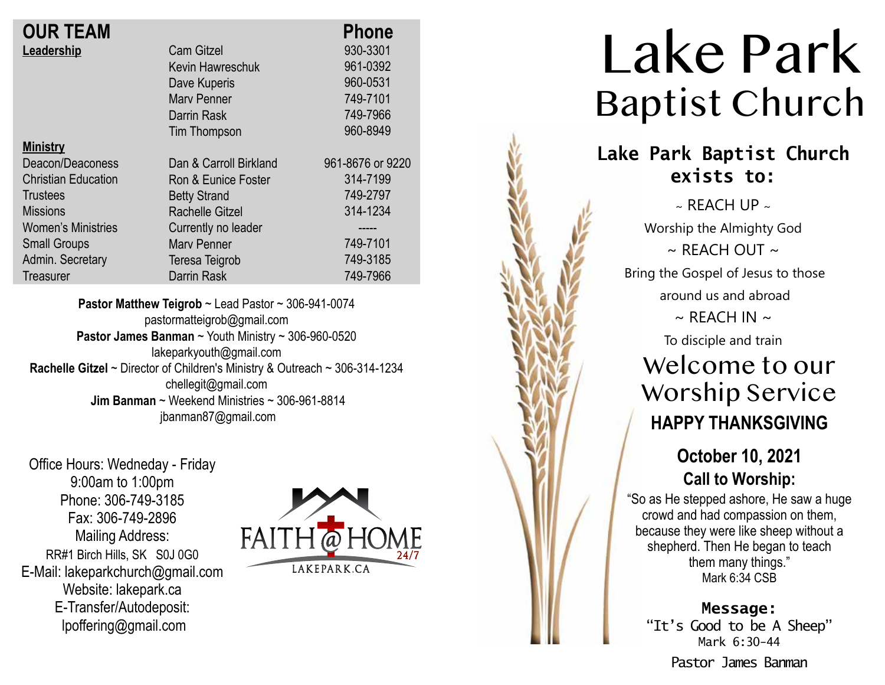|                        | <b>Phone</b>     |
|------------------------|------------------|
| <b>Cam Gitzel</b>      | 930-3301         |
| Kevin Hawreschuk       | 961-0392         |
| Dave Kuperis           | 960-0531         |
| <b>Mary Penner</b>     | 749-7101         |
| Darrin Rask            | 749-7966         |
| Tim Thompson           | 960-8949         |
|                        |                  |
| Dan & Carroll Birkland | 961-8676 or 9220 |
| Ron & Eunice Foster    | 314-7199         |
| <b>Betty Strand</b>    | 749-2797         |
| Rachelle Gitzel        | 314-1234         |
| Currently no leader    |                  |
| <b>Mary Penner</b>     | 749-7101         |
| Teresa Teigrob         | 749-3185         |
| Darrin Rask            | 749-7966         |
|                        |                  |

**Pastor Matthew Teigrob** ~ Lead Pastor ~ 306-941-0074 pastormatteigrob@gmail.com **Pastor James Banman** ~ Youth Ministry ~ 306-960-0520 lakeparkyouth@gmail.com **Rachelle Gitzel** ~ Director of Children's Ministry & Outreach ~ 306-314-1234 chellegit@gmail.com  **Jim Banman** ~ Weekend Ministries ~ 306-961-8814 jbanman87@gmail.com

Office Hours: Wedneday - Friday 9:00am to 1:00pm Phone: 306-749-3185 Fax: 306-749-2896 Mailing Address: RR#1 Birch Hills, SK S0J 0G0 E-Mail: lakeparkchurch@gmail.com Website: lakepark.ca E-Transfer/Autodeposit: lpoffering@gmail.com



# Lake Park Baptist Church

## **Lake Park Baptist Church exists to:**

 $\sim$  REACH UP  $\sim$ Worship the Almighty God  $\sim$  RFACH OUT  $\sim$ Bring the Gospel of Jesus to those around us and abroad  $\sim$  REACH IN  $\sim$ To disciple and train

# Welcome to our Worship Service **HAPPY THANKSGIVING**

### **October 10, 2021 Call to Worship:**

"So as He stepped ashore, He saw a huge crowd and had compassion on them, because they were like sheep without a shepherd. Then He began to teach them many things." Mark 6:34 CSB

**Message:** "It's Good to be A Sheep" Mark 6:30-44 Pastor James Banman